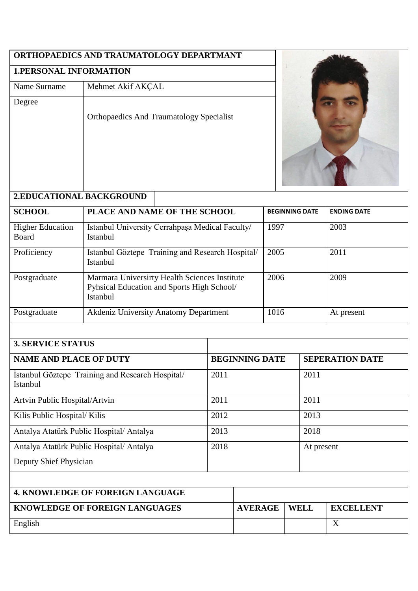# **ORTHOPAEDICS AND TRAUMATOLOGY DEPARTMANT**

# **1.PERSONAL INFORMATION**

## Name Surname | Mehmet Akif AKÇAL

Degree

Orthopaedics And Traumatology Specialist



| <b>2.EDUCATIONAL BACKGROUND</b>  |                                                                                                                |                       |                    |  |  |  |  |
|----------------------------------|----------------------------------------------------------------------------------------------------------------|-----------------------|--------------------|--|--|--|--|
| <b>SCHOOL</b>                    | PLACE AND NAME OF THE SCHOOL                                                                                   | <b>BEGINNING DATE</b> | <b>ENDING DATE</b> |  |  |  |  |
| <b>Higher Education</b><br>Board | Istanbul University Cerrahpaşa Medical Faculty/<br><b>Istanbul</b>                                             | 1997                  | 2003               |  |  |  |  |
| Proficiency                      | Istanbul Göztepe Training and Research Hospital/<br>Istanbul                                                   | 2005                  | 2011               |  |  |  |  |
| Postgraduate                     | Marmara Universirty Health Sciences Institute<br>Pyhsical Education and Sports High School/<br><b>Istanbul</b> | 2006                  | 2009               |  |  |  |  |
| Postgraduate                     | <b>Akdeniz University Anatomy Department</b>                                                                   | 1016                  | At present         |  |  |  |  |

| <b>3. SERVICE STATUS</b>                                     |  |                       |             |                        |  |
|--------------------------------------------------------------|--|-----------------------|-------------|------------------------|--|
| <b>NAME AND PLACE OF DUTY</b>                                |  | <b>BEGINNING DATE</b> |             | <b>SEPERATION DATE</b> |  |
| Istanbul Göztepe Training and Research Hospital/<br>Istanbul |  |                       | 2011        |                        |  |
| Artvin Public Hospital/Artvin                                |  | 2011                  |             | 2011                   |  |
| Kilis Public Hospital/Kilis                                  |  | 2012                  |             | 2013                   |  |
| Antalya Atatürk Public Hospital/Antalya                      |  | 2013                  |             | 2018                   |  |
| Antalya Atatürk Public Hospital/Antalya                      |  | 2018                  |             | At present             |  |
| Deputy Shief Physician                                       |  |                       |             |                        |  |
|                                                              |  |                       |             |                        |  |
| <b>4. KNOWLEDGE OF FOREIGN LANGUAGE</b>                      |  |                       |             |                        |  |
| <b>KNOWLEDGE OF FOREIGN LANGUAGES</b>                        |  | <b>AVERAGE</b>        | <b>WELL</b> | <b>EXCELLENT</b>       |  |
| English                                                      |  |                       |             | X                      |  |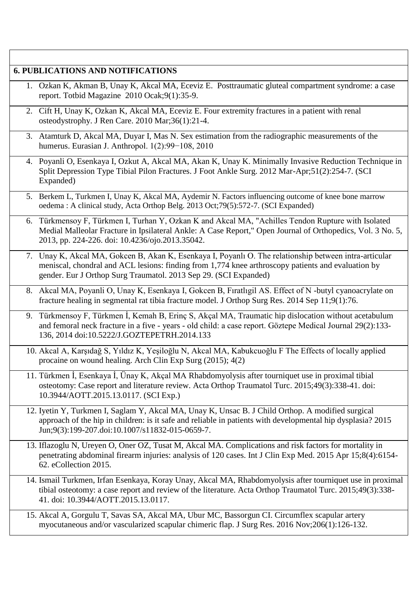|    | 1. Ozkan K, Akman B, Unay K, Akcal MA, Eceviz E. Posttraumatic gluteal compartment syndrome: a case                                                                                                                                                                              |
|----|----------------------------------------------------------------------------------------------------------------------------------------------------------------------------------------------------------------------------------------------------------------------------------|
|    | report. Totbid Magazine 2010 Ocak;9(1):35-9.                                                                                                                                                                                                                                     |
| 2. | Cift H, Unay K, Ozkan K, Akcal MA, Eceviz E. Four extremity fractures in a patient with renal<br>osteodystrophy. J Ren Care. 2010 Mar;36(1):21-4.                                                                                                                                |
|    | 3. Atamturk D, Akcal MA, Duyar I, Mas N. Sex estimation from the radiographic measurements of the<br>humerus. Eurasian J. Anthropol. 1(2):99-108, 2010                                                                                                                           |
|    | 4. Poyanli O, Esenkaya I, Ozkut A, Akcal MA, Akan K, Unay K. Minimally Invasive Reduction Technique in<br>Split Depression Type Tibial Pilon Fractures. J Foot Ankle Surg. 2012 Mar-Apr;51(2):254-7. (SCI<br>Expanded)                                                           |
|    | 5. Berkem L, Turkmen I, Unay K, Akcal MA, Aydemir N. Factors influencing outcome of knee bone marrow<br>oedema: A clinical study, Acta Orthop Belg. 2013 Oct;79(5):572-7. (SCI Expanded)                                                                                         |
| 6. | Türkmensoy F, Türkmen I, Turhan Y, Ozkan K and Akcal MA, "Achilles Tendon Rupture with Isolated<br>Medial Malleolar Fracture in Ipsilateral Ankle: A Case Report," Open Journal of Orthopedics, Vol. 3 No. 5,<br>2013, pp. 224-226. doi: 10.4236/ojo.2013.35042.                 |
|    | 7. Unay K, Akcal MA, Gokcen B, Akan K, Esenkaya I, Poyanlı O. The relationship between intra-articular<br>meniscal, chondral and ACL lesions: finding from 1,774 knee arthroscopy patients and evaluation by<br>gender. Eur J Orthop Surg Traumatol. 2013 Sep 29. (SCI Expanded) |
|    | 8. Akcal MA, Poyanli O, Unay K, Esenkaya I, Gokcen B, Fıratlıgil AS. Effect of N -butyl cyanoacrylate on<br>fracture healing in segmental rat tibia fracture model. J Orthop Surg Res. 2014 Sep 11;9(1):76.                                                                      |
|    | 9. Türkmensoy F, Türkmen İ, Kemah B, Erinç S, Akçal MA, Traumatic hip dislocation without acetabulum<br>and femoral neck fracture in a five - years - old child: a case report. Göztepe Medical Journal 29(2):133-<br>136, 2014 doi:10.5222/J.GOZTEPETRH.2014.133                |
|    | 10. Akcal A, Karşıdağ S, Yıldız K, Yeşiloğlu N, Akcal MA, Kabukcuoğlu F The Effects of locally applied<br>procaine on wound healing. Arch Clin Exp Surg (2015); 4(2)                                                                                                             |
|    | 11. Türkmen İ, Esenkaya İ, Ünay K, Akçal MA Rhabdomyolysis after tourniquet use in proximal tibial<br>osteotomy: Case report and literature review. Acta Orthop Traumatol Turc. 2015;49(3):338-41. doi:<br>10.3944/AOTT.2015.13.0117. (SCI Exp.)                                 |
|    | 12. Iyetin Y, Turkmen I, Saglam Y, Akcal MA, Unay K, Unsac B. J Child Orthop. A modified surgical<br>approach of the hip in children: is it safe and reliable in patients with developmental hip dysplasia? 2015<br>Jun;9(3):199-207.doi:10.1007/s11832-015-0659-7.              |
|    | 13. Iflazoglu N, Ureyen O, Oner OZ, Tusat M, Akcal MA. Complications and risk factors for mortality in<br>penetrating abdominal firearm injuries: analysis of 120 cases. Int J Clin Exp Med. 2015 Apr 15;8(4):6154-<br>62. eCollection 2015.                                     |
|    | 14. Ismail Turkmen, Irfan Esenkaya, Koray Unay, Akcal MA, Rhabdomyolysis after tourniquet use in proximal<br>tibial osteotomy: a case report and review of the literature. Acta Orthop Traumatol Turc. 2015;49(3):338-<br>41. doi: 10.3944/AOTT.2015.13.0117.                    |

 $\overline{\phantom{a}}$ 

 $\mathsf{r}$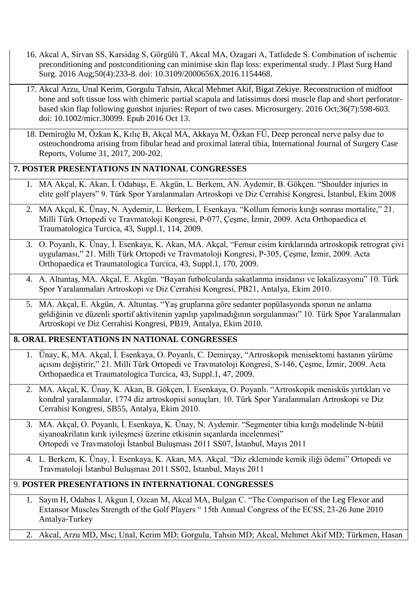- 16. Akcal A, Sirvan SS, Karsidag S, Görgülü T, Akcal MA, Ozagari A, Tatlidede S. Combination of ischemic preconditioning and postconditioning can minimise skin flap loss: experimental study. J Plast Surg Hand Surg. 2016 Aug;50(4):233-8. doi: 10.3109/2000656X.2016.1154468.
- 17. Akcal Arzu, Unal Kerim, Gorgulu Tahsin, Akcal Mehmet Akif, Bigat Zekiye. Reconstruction of midfoot bone and soft tissue loss with chimeric partial scapula and latissimus dorsi muscle flap and short perforatorbased skin flap following gunshot injuries: Report of two cases. Microsurgery. 2016 Oct;36(7):598-603. doi: 10.1002/micr.30099. Epub 2016 Oct 13.
- 18. Demiroğlu M, Özkan K, Kılıç B, Akçal MA, Akkaya M, Özkan FÜ, Deep peroneal nerve palsy due to osteochondroma arising from fibular head and proximal lateral tibia, International Journal of Surgery Case Reports, Volume 31, 2017, 200-202.

#### **7. POSTER PRESENTATIONS IN NATIONAL CONGRESSES**

- 1. MA Akçal, K. Akan, İ. Odabaşı, E. Akgün, L. Berkem, AN. Aydemir, B. Gökçen. "Shoulder injuries in elite golf players" 9. Türk Spor Yaralanmaları Artroskopi ve Diz Cerrahisi Kongresi, İstanbul, Ekim 2008
- 2. MA Akçal, K. Ünay, N. Aydemir, L. Berkem, İ. Esenkaya. "Kollum femoris kırığı sonrası mortalite," 21. Milli Türk Ortopedi ve Travmatoloji Kongresi, P-077, Çeşme, İzmir, 2009. Acta Orthopaedica et Traumatologica Turcica, 43, Suppl.1, 114, 2009.
- 3. O. Poyanlı, K. Ünay, İ. Esenkaya, K. Akan, MA. Akçal, "Femur cisim kırıklarında artroskopik retrograt çivi uygulaması," 21. Milli Türk Ortopedi ve Travmatoloji Kongresi, P-305, Çeşme, İzmir, 2009. Acta Orthopaedica et Traumatologica Turcica, 43, Suppl.1, 170, 2009.
- 4. A. Altuntaş, MA. Akçal, E. Akgün. "Bayan futbolcularda sakatlanma insidansı ve lokalizasyonu" 10. Türk Spor Yaralanmaları Artroskopi ve Diz Cerrahisi Kongresi, PB21, Antalya, Ekim 2010.
- 5. MA. Akçal, E. Akgün, A. Altuntaş. "Yaş gruplarına göre sedanter popülasyonda sporun ne anlama geldiğinin ve düzenli sportif aktivitenin yapılıp yapılmadığının sorgulanması" 10. Türk Spor Yaralanmaları Artroskopi ve Diz Cerrahisi Kongresi, PB19, Antalya, Ekim 2010.

#### **8. ORAL PRESENTATIONS IN NATIONAL CONGRESSES**

- 1. Ünay, K, MA. Akçal, İ. Esenkaya, O. Poyanlı, C. Demirçay, "Artroskopik menisektomi hastanın yürüme açısını değiştirir," 21. Milli Türk Ortopedi ve Travmatoloji Kongresi, S-146, Çeşme, İzmir, 2009. Acta Orthopaedica et Traumatologica Turcica, 43, Suppl.1, 47, 2009.
- 2. MA. Akçal, K. Ünay, K. Akan, B. Gökçen, İ. Esenkaya, O. Poyanlı. "Artroskopik menisküs yırtıkları ve kondral yaralanmalar, 1774 diz artroskopisi sonuçları. 10. Türk Spor Yaralanmaları Artroskopi ve Diz Cerrahisi Kongresi, SB55, Antalya, Ekim 2010.
- 3. MA. Akçal, O. Poyanlı, İ. Esenkaya, K. Ünay, N. Aydemir. "Segmenter tibia kırığı modelinde N-bütil siyanoakrilatın kırık iyileşmesi üzerine etkisinin sıçanlarda incelenmesi" Ortopedi ve Travmatoloji İstanbul Buluşması 2011 SS07, İstanbul, Mayıs 2011
- 4. L. Berkem, K. Ünay, İ. Esenkaya, K. Akan, MA. Akçal. "Diz ekleminde kemik iliği ödemi" Ortopedi ve Travmatoloji İstanbul Buluşması 2011 SS02, İstanbul, Mayıs 2011

### 9. **POSTER PRESENTATIONS IN INTERNATIONAL CONGRESSES**

- 1. Sayın H, Odabas I, Akgun I, Ozcan M, Akcal MA, Bulgan C. "The Comparison of the Leg Flexor and Extansor Muscles Strength of the Golf Players " 15th Annual Congress of the ECSS, 23-26 June 2010 Antalya-Turkey
- 2. Akcal, Arzu MD, Msc; Unal, Kerim MD; Gorgulu, Tahsin MD; Akcal, Mehmet Akif MD; Türkmen, Hasan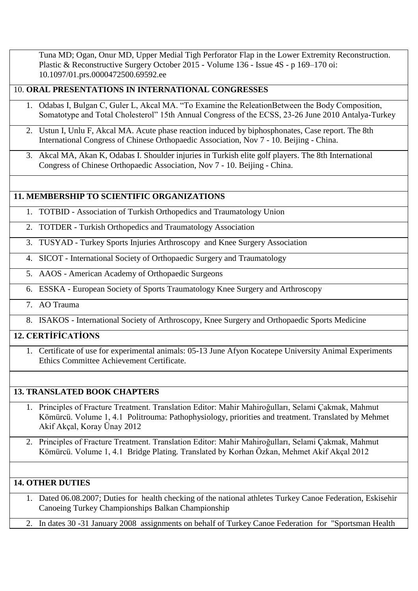Tuna MD; Ogan, Onur MD, Upper Medial Tigh Perforator Flap in the Lower Extremity Reconstruction. Plastic & Reconstructive Surgery October 2015 - Volume 136 - Issue 4S - p 169–170 oi: 10.1097/01.prs.0000472500.69592.ee

#### 10. **ORAL PRESENTATIONS IN INTERNATIONAL CONGRESSES**

- 1. Odabas I, Bulgan C, Guler L, Akcal MA. "To Examine the ReleationBetween the Body Composition, Somatotype and Total Cholesterol" 15th Annual Congress of the ECSS, 23-26 June 2010 Antalya-Turkey
- 2. Ustun I, Unlu F, Akcal MA. Acute phase reaction induced by biphosphonates, Case report. The 8th International Congress of Chinese Orthopaedic Association, Nov 7 - 10. Beijing - China.
- 3. Akcal MA, Akan K, Odabas I. Shoulder injuries in Turkish elite golf players. The 8th International Congress of Chinese Orthopaedic Association, Nov 7 - 10. Beijing - China.

#### **11. MEMBERSHIP TO SCIENTIFIC ORGANIZATIONS**

- 1. TOTBID Association of Turkish Orthopedics and Traumatology Union
- 2. TOTDER Turkish Orthopedics and Traumatology Association
- 3. TUSYAD Turkey Sports Injuries Arthroscopy and Knee Surgery Association
- 4. SICOT International Society of Orthopaedic Surgery and Traumatology
- 5. AAOS American Academy of Orthopaedic Surgeons
- 6. ESSKA European Society of Sports Traumatology Knee Surgery and Arthroscopy

#### 7. AO Trauma

8. ISAKOS - International Society of Arthroscopy, Knee Surgery and Orthopaedic Sports Medicine

#### **12. CERTİFİCATİONS**

1. Certificate of use for experimental animals: 05-13 June Afyon Kocatepe University Animal Experiments Ethics Committee Achievement Certificate.

#### **13. TRANSLATED BOOK CHAPTERS**

- 1. Principles of Fracture Treatment. Translation Editor: Mahir Mahiroğulları, Selami Çakmak, Mahmut Kömürcü. Volume 1, 4.1 Politrouma: Pathophysiology, priorities and treatment. Translated by Mehmet Akif Akçal, Koray Ünay 2012
- 2. Principles of Fracture Treatment. Translation Editor: Mahir Mahiroğulları, Selami Çakmak, Mahmut Kömürcü. Volume 1, 4.1 Bridge Plating. Translated by Korhan Özkan, Mehmet Akif Akçal 2012

#### **14. OTHER DUTIES**

- 1. Dated 06.08.2007; Duties for health checking of the national athletes Turkey Canoe Federation, Eskisehir Canoeing Turkey Championships Balkan Championship
- 2. In dates 30 -31 January 2008 assignments on behalf of Turkey Canoe Federation for "Sportsman Health